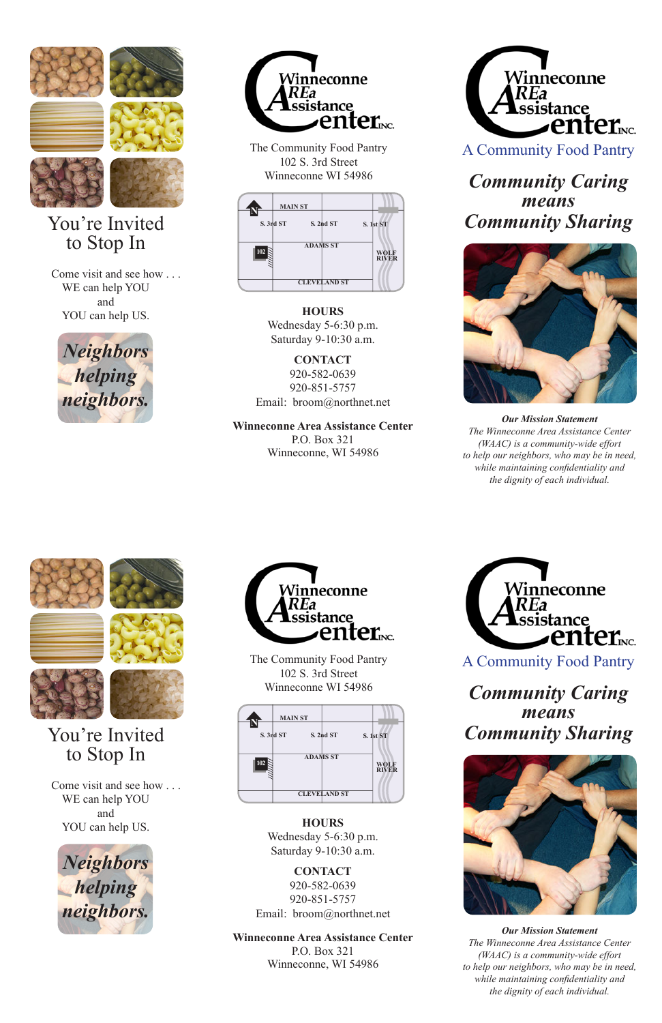

# You're Invited to Stop In

Come visit and see how WE can help YOU and YOU can help US.





The Community Food Pantry 102 S. 3rd Street Winneconne WI 54986



**HOURS** Wednesday 5-6:30 p.m. Saturday 9-10:30 a.m.

**CONTACT** 920-582-0639 920-851-5757 Email: broom@northnet.net

#### **Winneconne Area Assistance Center**

P.O. Box 321 Winneconne, WI 54986



A Community Food Pantry

# *Community Caring means Community Sharing*



*Our Mission Statement The Winneconne Area Assistance Center (WAAC) is a community-wide effort to help our neighbors, who may be in need, while maintaining confidentiality and the dignity of each individual.*